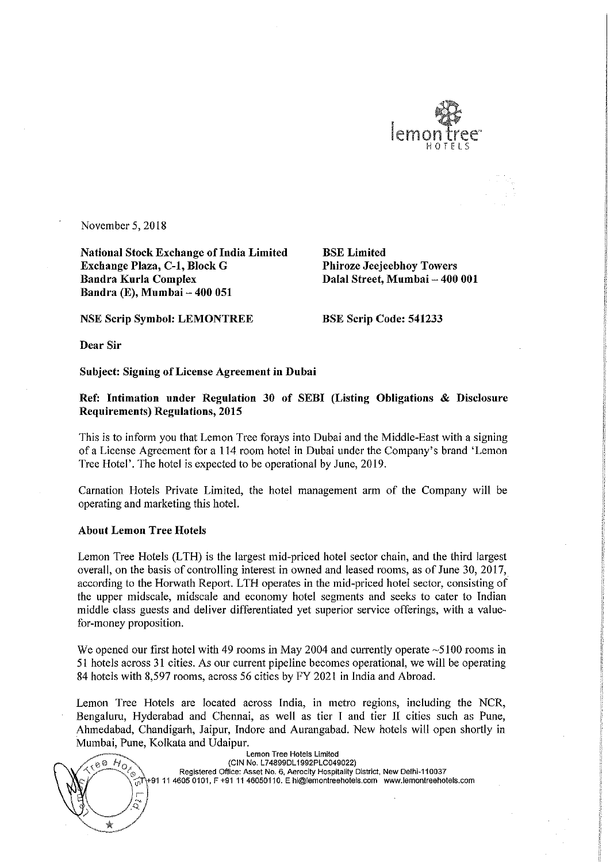

November 5, 2018

National Stock Exchange of India Limited<br> **Exchange Plaza, C-1, Block G** Phiroze Jeejeebhoy Towers Exchange Plaza, C-1, Block G<br>Bandra Kurla Complex Bandra Kurla Complex Dalal Street, Mumbai — 400 001 Bandra (E), Mumbai – 400 051

NSE Scrip Symbol: LEMONTREE BSE Scrip Code: 541233

Dear Sir

Subject: Signing of License Agreement in Dubai

Ref: Intimation under Regulation <sup>30</sup> of SEBI (Listing Obligations & Disclosure Requirements) Regulations, 2015

This is to inform you that Lemon Tree forays into Dubai and the Middle-East with <sup>a</sup> signing of <sup>a</sup> License Agreement for <sup>a</sup> <sup>114</sup> room hotel in Dubai under the Company's brand 'Lemon Tree Hotel'. The hotel is expected to be operational by June, 2019.

Carnation Hotels Private Limited, the hotel management arm of the Company will be operating and marketing this hotel.

## About Lemon Tree Hotels

Lemon Tree Hotels (LTH) is the largest mid-priced hotel sector chain, and the third largest overall, on the basis of controlling interest in owned and leased rooms, as of June 30, 2017, according to the Horwath Report. LTH operates in the mid-priced hotel sector, consisting of the upper midscale, midscale and economy hotel segments and seeks to cater to Indian middle class guests and deliver differentiated yet superior service offerings, with <sup>a</sup> value for-money proposition.

We opened our first hotel with 49 rooms in May 2004 and currently operate  $\sim$  5100 rooms in <sup>51</sup> hotels across <sup>31</sup> cities. As our current pipeline becomes operational, we will be operating <sup>84</sup> hotels with 8,597 rooms, across <sup>56</sup> cities by FY <sup>2021</sup> in India and Abroad.

Lemon Tree Hotels are located across India, in metro regions, including the NCR, Bengaluru, Hyderabad and Chennai, as well as tier I and tier <sup>11</sup> cities such as Pune, Ahmedabad, Chandigarh, Jaipur, Indore and Aurangabad. New hotels will open shortly in



Lemon Tree Hotels Limited (CIN No. L74899DL1992PLC049022) Registered Office: Asset No. 6. Aerocity Hospitality District, New Delhi-110037  $\chi_{\widehat{0}}$  +91 11 4605 0101, F +91 11 46050110. E hi@lemontreehotels.com www.lemontreehotels.com